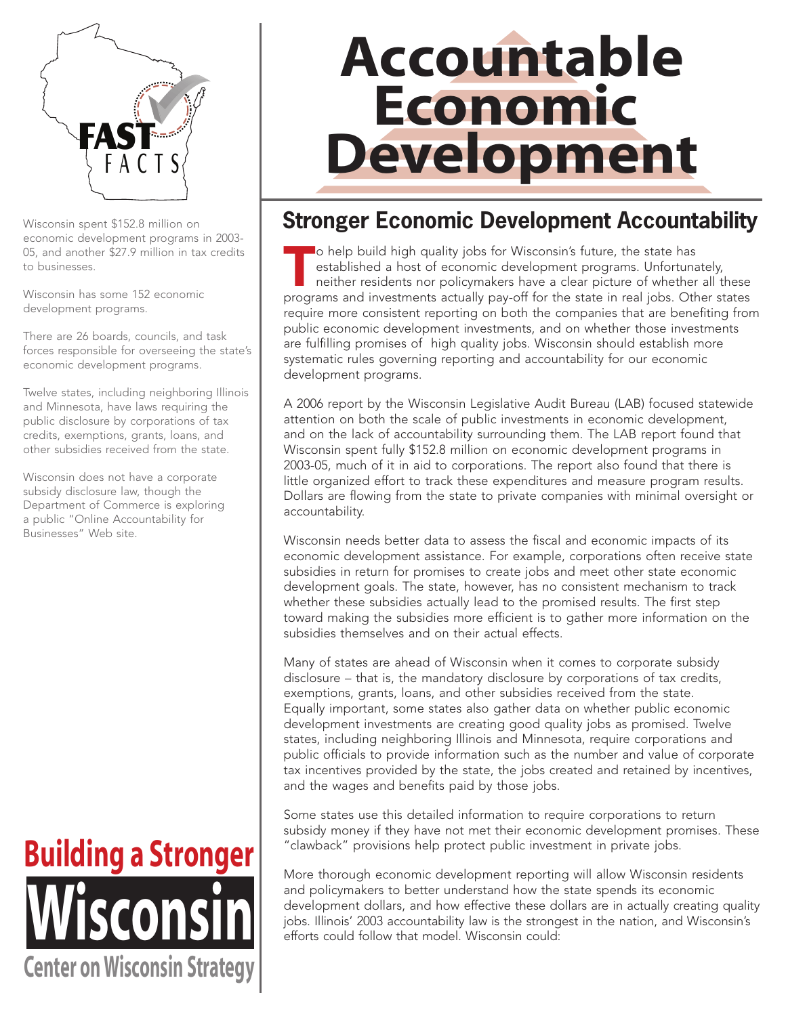

economic development programs in 2003- 05, and another \$27.9 million in tax credits to businesses.

Wisconsin has some 152 economic development programs.

There are 26 boards, councils, and task forces responsible for overseeing the state's economic development programs.

Twelve states, including neighboring Illinois and Minnesota, have laws requiring the public disclosure by corporations of tax credits, exemptions, grants, loans, and other subsidies received from the state.

Wisconsin does not have a corporate subsidy disclosure law, though the Department of Commerce is exploring a public "Online Accountability for Businesses" Web site.



# **Accountable Economic Development**

## Wisconsin spent \$152.8 million on **Stronger Economic Development Accountability**

To help build high quality jobs for Wisconsin's future, the state has<br>
established a host of economic development programs. Unfortunately,<br>
neither residents nor policymakers have a clear picture of whether all these<br>
prog established a host of economic development programs. Unfortunately, programs and investments actually pay-off for the state in real jobs. Other states require more consistent reporting on both the companies that are benefiting from public economic development investments, and on whether those investments are fulfilling promises of high quality jobs. Wisconsin should establish more systematic rules governing reporting and accountability for our economic development programs.

A 2006 report by the Wisconsin Legislative Audit Bureau (LAB) focused statewide attention on both the scale of public investments in economic development, and on the lack of accountability surrounding them. The LAB report found that Wisconsin spent fully \$152.8 million on economic development programs in 2003-05, much of it in aid to corporations. The report also found that there is little organized effort to track these expenditures and measure program results. Dollars are flowing from the state to private companies with minimal oversight or accountability.

Wisconsin needs better data to assess the fiscal and economic impacts of its economic development assistance. For example, corporations often receive state subsidies in return for promises to create jobs and meet other state economic development goals. The state, however, has no consistent mechanism to track whether these subsidies actually lead to the promised results. The first step toward making the subsidies more efficient is to gather more information on the subsidies themselves and on their actual effects.

Many of states are ahead of Wisconsin when it comes to corporate subsidy disclosure – that is, the mandatory disclosure by corporations of tax credits, exemptions, grants, loans, and other subsidies received from the state. Equally important, some states also gather data on whether public economic development investments are creating good quality jobs as promised. Twelve states, including neighboring Illinois and Minnesota, require corporations and public officials to provide information such as the number and value of corporate tax incentives provided by the state, the jobs created and retained by incentives, and the wages and benefits paid by those jobs.

Some states use this detailed information to require corporations to return subsidy money if they have not met their economic development promises. These "clawback" provisions help protect public investment in private jobs.

More thorough economic development reporting will allow Wisconsin residents and policymakers to better understand how the state spends its economic development dollars, and how effective these dollars are in actually creating quality jobs. Illinois' 2003 accountability law is the strongest in the nation, and Wisconsin's efforts could follow that model. Wisconsin could: